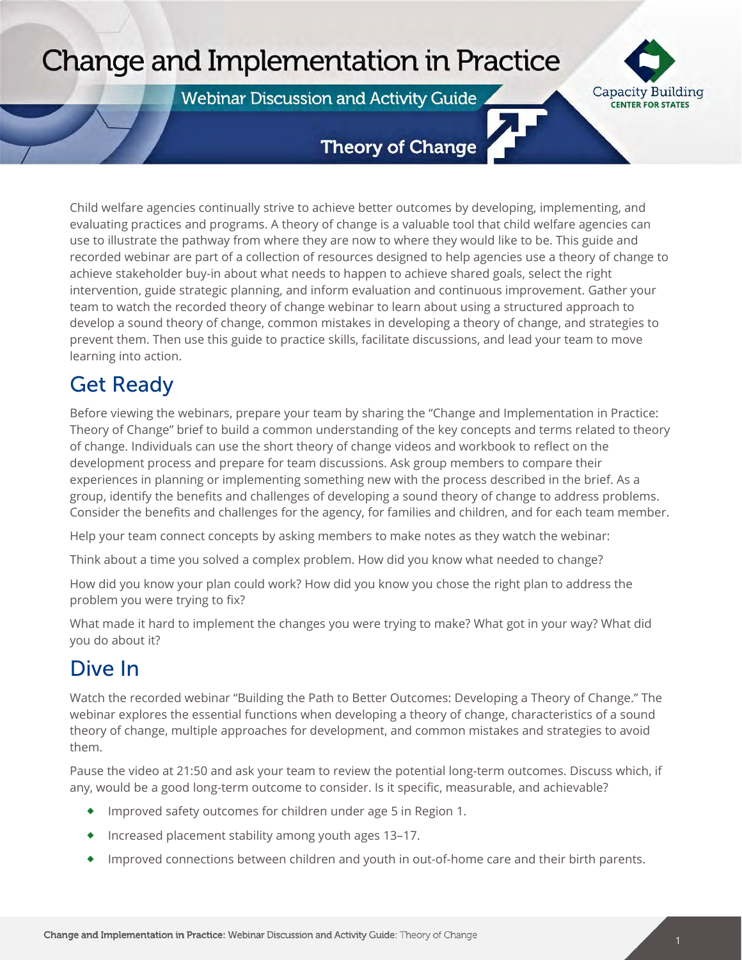# Change and Implementation in Practice

**Webinar Discussion and Activity Guide** 



### **Theory of Change**

Child welfare agencies continually strive to achieve better outcomes by developing, implementing, and evaluating practices and programs. A theory of change is a valuable tool that child welfare agencies can use to illustrate the pathway from where they are now to where they would like to be. This guide and recorded webinar are part of a collection of resources designed to help agencies use a theory of change to achieve stakeholder buy-in about what needs to happen to achieve shared goals, select the right intervention, guide strategic planning, and inform evaluation and continuous improvement. Gather your team to watch the recorded theory of change webinar to learn about using a structured approach to develop a sound theory of change, common mistakes in developing a theory of change, and strategies to prevent them. Then use this guide to practice skills, facilitate discussions, and lead your team to move learning into action.

## Get Ready

Webinar Discussion and Activity Guide

Before viewing the webinars, prepare your team by sharing the "Change and Implementation in Practice: Theory of Change" brief to build a common understanding of the key concepts and terms related to theory of change. Individuals can use the short theory of change videos and workbook to reflect on the development process and prepare for team discussions. Ask group members to compare their experiences in planning or implementing something new with the process described in the brief. As a group, identify the benefits and challenges of developing a sound theory of change to address problems. Consider the benefits and challenges for the agency, for families and children, and for each team member.

Help your team connect concepts by asking members to make notes as they watch the webinar:

Think about a time you solved a complex problem. How did you know what needed to change?

How did you know your plan could work? How did you know you chose the right plan to address the problem you were trying to fix?

What made it hard to implement the changes you were trying to make? What got in your way? What did you do about it?

### Dive In

Watch the recorded webinar "Building the Path to Better Outcomes: Developing a Theory of Change." The webinar explores the essential functions when developing a theory of change, characteristics of a sound theory of change, multiple approaches for development, and common mistakes and strategies to avoid them.

Pause the video at 21:50 and ask your team to review the potential long-term outcomes. Discuss which, if any, would be a good long-term outcome to consider. Is it specific, measurable, and achievable?

- ٠ Improved safety outcomes for children under age 5 in Region 1.
- ٠ Increased placement stability among youth ages 13–17.
- ٠ Improved connections between children and youth in out-of-home care and their birth parents.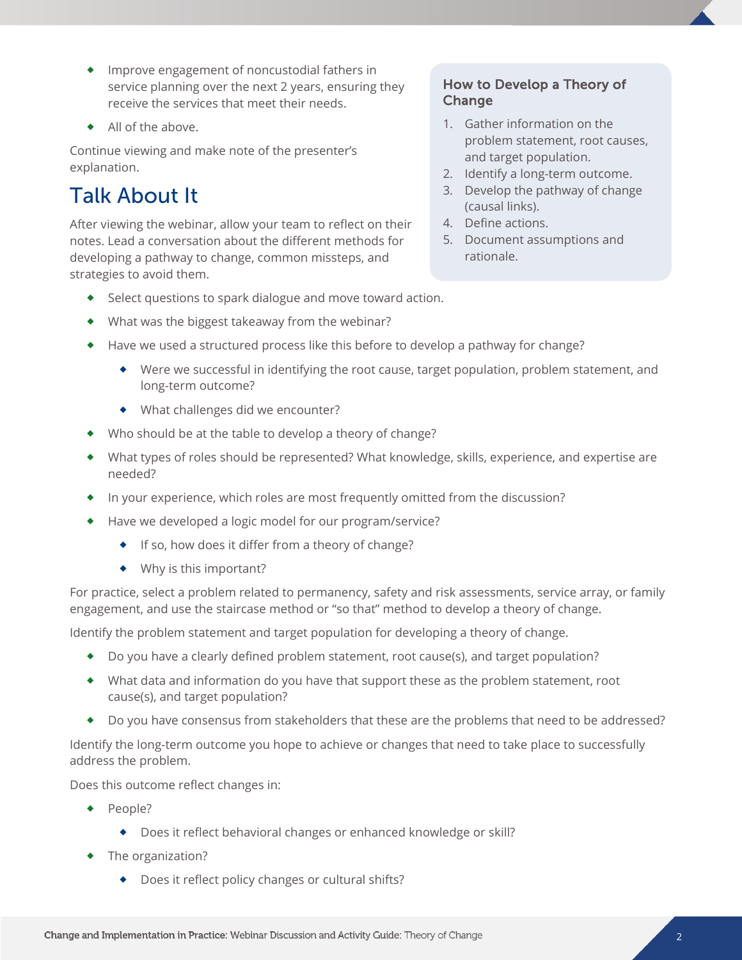- Improve engagement of noncustodial fathers in service planning over the next 2 years, ensuring they receive the services that meet their needs.
- All of the above.

Continue viewing and make note of the presenter's explanation.

# Talk About It

After viewing the webinar, allow your team to reflect on their notes. Lead a conversation about the different methods for developing a pathway to change, common missteps, and strategies to avoid them.

#### How to Develop a Theory of Change

- 1. Gather information on the problem statement, root causes, and target population.
- 2. Identify a long-term outcome.
- 3. Develop the pathway of change (causal links).
- 4. Define actions.
- 5. Document assumptions and rationale.
- Select questions to spark dialogue and move toward action.
- What was the biggest takeaway from the webinar?
- Have we used a structured process like this before to develop a pathway for change?
	- Were we successful in identifying the root cause, target population, problem statement, and long-term outcome?
	- What challenges did we encounter?
- Who should be at the table to develop a theory of change?
- What types of roles should be represented? What knowledge, skills, experience, and expertise are needed?
- In your experience, which roles are most frequently omitted from the discussion?
- ◆ Have we developed a logic model for our program/service?
	- ◆ If so, how does it differ from a theory of change?
	- Why is this important?

For practice, select a problem related to permanency, safety and risk assessments, service array, or family engagement, and use the staircase method or "so that" method to develop a theory of change.

Identify the problem statement and target population for developing a theory of change.

- Do you have a clearly defined problem statement, root cause(s), and target population?
- What data and information do you have that support these as the problem statement, root cause(s), and target population?
- Do you have consensus from stakeholders that these are the problems that need to be addressed?

Identify the long-term outcome you hope to achieve or changes that need to take place to successfully address the problem.

Does this outcome reflect changes in:

- ◆ People?
	- ◆ Does it reflect behavioral changes or enhanced knowledge or skill?
- ◆ The organization?
	- ◆ Does it reflect policy changes or cultural shifts?